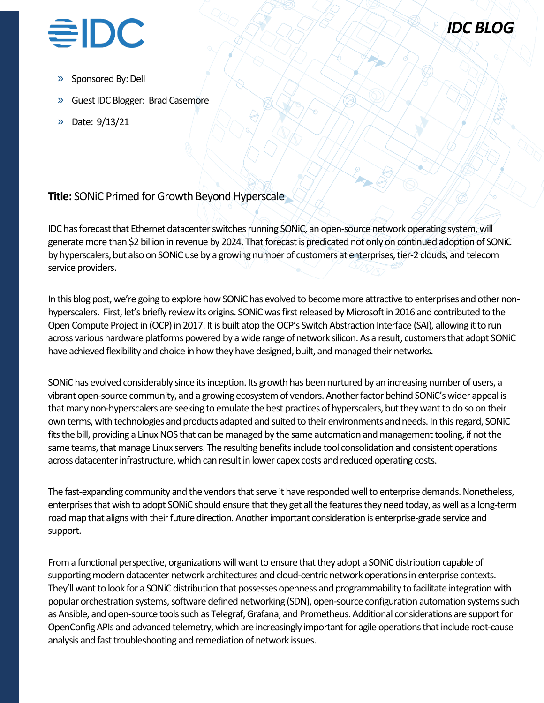



- Sponsored By: Dell
- » Guest IDC Blogger: Brad Casemore
- » Date: 9/13/21

## **Title:** SONiC Primed for Growth Beyond Hyperscale

IDC has forecast that Ethernet datacenter switches running SONiC, an open-source network operating system, will generate more than \$2 billion in revenue by 2024. That forecast is predicated not only on continued adoption of SONiC by hyperscalers, but also on SONiC use by a growing number of customers at enterprises, tier-2 clouds, and telecom service providers.

In this blog post, we're going to explore how SONiC has evolved to become more attractive to enterprises and other nonhyperscalers. First, let's briefly review its origins. SONiC was first released by Microsoft in 2016 and contributed to the Open Compute Project in (OCP) in 2017. It is built atop the OCP's Switch Abstraction Interface (SAI), allowing it to run across various hardware platforms powered by a wide range of network silicon. As a result, customers that adopt SONiC have achieved flexibility and choice in how they have designed, built, and managed their networks.

SONiC has evolved considerably since its inception. Its growth has been nurtured by an increasing number of users, a vibrant open-source community, and a growing ecosystem of vendors. Another factor behind SONiC's wider appeal is that many non-hyperscalers are seeking to emulate the best practices of hyperscalers, but they want to do so on their own terms, with technologies and products adapted and suited to their environments and needs. In this regard, SONiC fits the bill, providing a Linux NOS that can be managed by the same automation and management tooling, if not the same teams, that manage Linux servers. The resulting benefits include tool consolidation and consistent operations across datacenter infrastructure, which can result in lower capex costs and reduced operating costs.

The fast-expanding community and the vendors that serve it have responded well to enterprise demands. Nonetheless, enterprises that wish to adopt SONiC should ensure that they get all the features they need today, as well as a long-term road map that aligns with their future direction. Another important consideration is enterprise-grade service and support.

From a functional perspective, organizations will want to ensure that they adopt a SONiC distribution capable of supporting modern datacenter network architectures and cloud-centric network operations in enterprise contexts. They'll want to look for a SONiC distribution that possesses openness and programmability to facilitate integration with popular orchestration systems, software defined networking (SDN), open-source configuration automation systems such as Ansible, and open-source tools such as Telegraf, Grafana, and Prometheus. Additional considerations are support for OpenConfig APIs and advanced telemetry, which are increasingly important for agile operations that include root-cause analysis and fast troubleshooting and remediation of network issues.